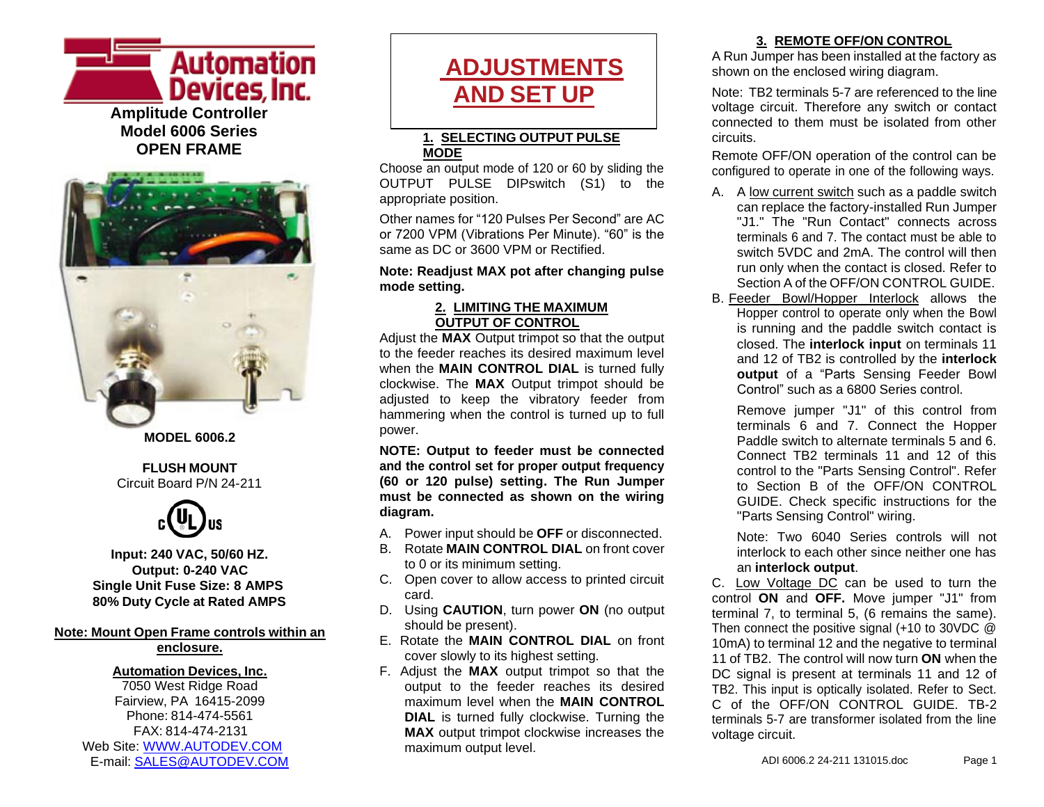

**OPEN FRAME**



**MODEL 6006.2**

#### **FLUSH MOUNT** Circuit Board P/N 24-211



**Input: 240 VAC, 50/60 HZ. Output: 0-240 VAC Single Unit Fuse Size: 8 AMPS 80% Duty Cycle at Rated AMPS**

#### **Note: Mount Open Frame controls within an enclosure.**

#### **Automation Devices, Inc.**

7050 West Ridge Road Fairview, PA 16415-2099 Phone: 814-474-5561 FAX: 814-474-2131 Web Site: [WWW.AUTODEV.COM](http://www.autodev.com/) E-mail: [SALES@AUTODEV.COM](mailto:SALES@AUTODEV.COM)

# **ADJUSTMENTS AND SET UP**

#### **1. SELECTING OUTPUT PULSE MODE**

Choose an output mode of 120 or 60 by sliding the OUTPUT PULSE DIPswitch (S1) to the appropriate position.

Other names for "120 Pulses Per Second" are AC or 7200 VPM (Vibrations Per Minute). "60" is the same as DC or 3600 VPM or Rectified.

#### **Note: Readjust MAX pot after changing pulse mode setting.**

#### **2. LIMITING THE MAXIMUM OUTPUT OF CONTROL**

Adjust the **MAX** Output trimpot so that the output to the feeder reaches its desired maximum level when the **MAIN CONTROL DIAL** is turned fully clockwise. The **MAX** Output trimpot should be adjusted to keep the vibratory feeder from hammering when the control is turned up to full power.

**NOTE: Output to feeder must be connected and the control set for proper output frequency (60 or 120 pulse) setting. The Run Jumper must be connected as shown on the wiring diagram.**

- A. Power input should be **OFF** or disconnected.
- B. Rotate **MAIN CONTROL DIAL** on front cover to 0 or its minimum setting.
- C. Open cover to allow access to printed circuit card.
- D. Using **CAUTION**, turn power **ON** (no output should be present).
- E. Rotate the **MAIN CONTROL DIAL** on front cover slowly to its highest setting.
- F. Adjust the **MAX** output trimpot so that the output to the feeder reaches its desired maximum level when the **MAIN CONTROL DIAL** is turned fully clockwise. Turning the **MAX** output trimpot clockwise increases the maximum output level.

## **3. REMOTE OFF/ON CONTROL**

A Run Jumper has been installed at the factory as shown on the enclosed wiring diagram.

Note: TB2 terminals 5-7 are referenced to the line voltage circuit. Therefore any switch or contact connected to them must be isolated from other circuits.

Remote OFF/ON operation of the control can be configured to operate in one of the following ways.

- A. A low current switch such as a paddle switch can replace the factory-installed Run Jumper "J1." The "Run Contact" connects across terminals 6 and 7. The contact must be able to switch 5VDC and 2mA. The control will then run only when the contact is closed. Refer to Section A of the OFF/ON CONTROL GUIDE.
- B. Feeder Bowl/Hopper Interlock allows the Hopper control to operate only when the Bowl is running and the paddle switch contact is closed. The **interlock input** on terminals 11 and 12 of TB2 is controlled by the **interlock output** of a "Parts Sensing Feeder Bowl Control" such as a 6800 Series control.

Remove jumper "J1" of this control from terminals 6 and 7. Connect the Hopper Paddle switch to alternate terminals 5 and 6. Connect TB2 terminals 11 and 12 of this control to the "Parts Sensing Control". Refer to Section B of the OFF/ON CONTROL GUIDE. Check specific instructions for the "Parts Sensing Control" wiring.

Note: Two 6040 Series controls will not interlock to each other since neither one has an **interlock output**.

C. Low Voltage DC can be used to turn the control **ON** and **OFF.** Move jumper "J1" from terminal 7, to terminal 5, (6 remains the same). Then connect the positive signal (+10 to 30VDC @ 10mA) to terminal 12 and the negative to terminal 11 of TB2. The control will now turn **ON** when the DC signal is present at terminals 11 and 12 of TB2. This input is optically isolated. Refer to Sect. C of the OFF/ON CONTROL GUIDE TB-2 terminals 5-7 are transformer isolated from the line voltage circuit.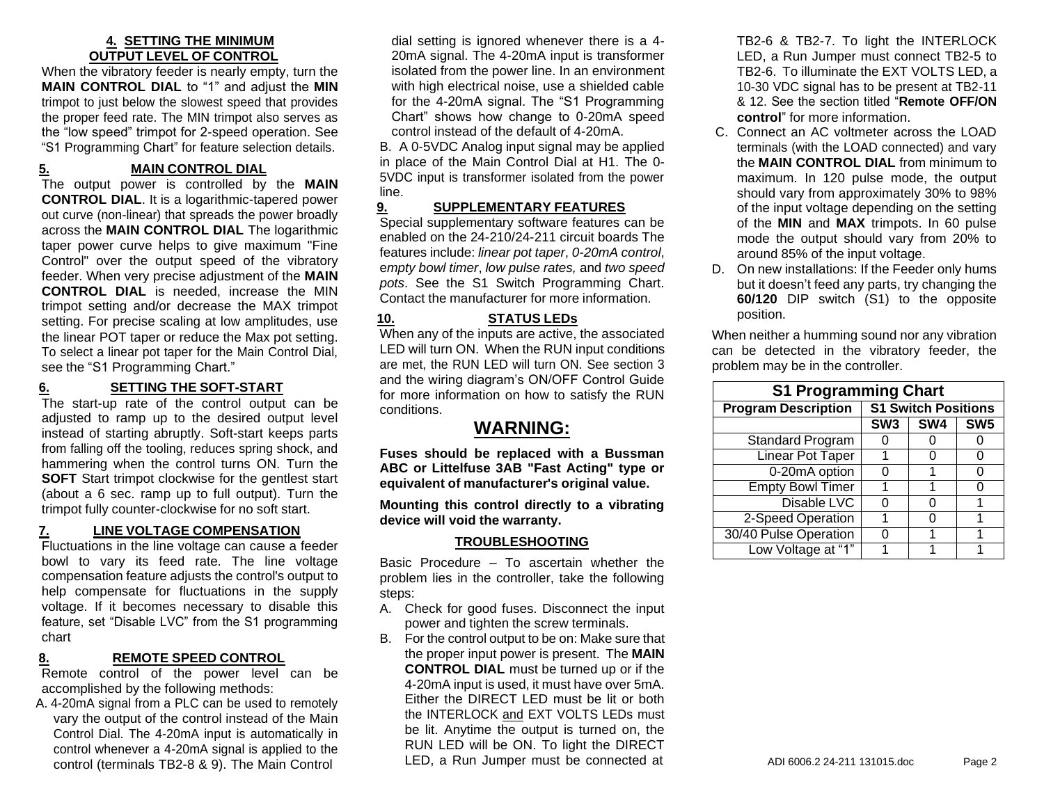#### **4. SETTING THE MINIMUM OUTPUT LEVEL OF CONTROL**

When the vibratory feeder is nearly empty, turn the **MAIN CONTROL DIAL** to "1" and adjust the **MIN** trimpot to just below the slowest speed that provides the proper feed rate. The MIN trimpot also serves as the "low speed" trimpot for 2-speed operation. See "S1 Programming Chart" for feature selection details.

## **5. MAIN CONTROL DIAL**

The output power is controlled by the **MAIN CONTROL DIAL**. It is a logarithmic-tapered power out curve (non-linear) that spreads the power broadly across the **MAIN CONTROL DIAL** The logarithmic taper power curve helps to give maximum "Fine Control" over the output speed of the vibratory feeder. When very precise adjustment of the **MAIN CONTROL DIAL** is needed, increase the MIN trimpot setting and/or decrease the MAX trimpot setting. For precise scaling at low amplitudes, use the linear POT taper or reduce the Max pot setting. To select a linear pot taper for the Main Control Dial, see the "S1 Programming Chart."

## **6. SETTING THE SOFT-START**

The start-up rate of the control output can be adjusted to ramp up to the desired output level instead of starting abruptly. Soft-start keeps parts from falling off the tooling, reduces spring shock, and hammering when the control turns ON. Turn the **SOFT** Start trimpot clockwise for the gentlest start (about a 6 sec. ramp up to full output). Turn the trimpot fully counter-clockwise for no soft start.

#### **7. LINE VOLTAGE COMPENSATION**

Fluctuations in the line voltage can cause a feeder bowl to vary its feed rate. The line voltage compensation feature adjusts the control's output to help compensate for fluctuations in the supply voltage. If it becomes necessary to disable this feature, set "Disable LVC" from the S1 programming chart

## **8. REMOTE SPEED CONTROL**

Remote control of the power level can be accomplished by the following methods:

A. 4-20mA signal from a PLC can be used to remotely vary the output of the control instead of the Main Control Dial. The 4-20mA input is automatically in control whenever a 4-20mA signal is applied to the control (terminals TB2-8 & 9). The Main Control

dial setting is ignored whenever there is a 4- 20mA signal. The 4-20mA input is transformer isolated from the power line. In an environment with high electrical noise, use a shielded cable for the 4-20mA signal. The "S1 Programming Chart" shows how change to 0-20mA speed control instead of the default of 4-20mA.

B. A 0-5VDC Analog input signal may be applied in place of the Main Control Dial at H1. The 0- 5VDC input is transformer isolated from the power line.

#### **9. SUPPLEMENTARY FEATURES**

Special supplementary software features can be enabled on the 24-210/24-211 circuit boards The features include: *linear pot taper*, *0-20mA control*, e*mpty bowl timer*, *low pulse rates,* and *two speed pots*. See the S1 Switch Programming Chart. Contact the manufacturer for more information.

## **10. STATUS LEDs**

When any of the inputs are active, the associated LED will turn ON. When the RUN input conditions are met, the RUN LED will turn ON. See section 3 and the wiring diagram's ON/OFF Control Guide for more information on how to satisfy the RUN conditions.

## **WARNING:**

**Fuses should be replaced with a Bussman ABC or Littelfuse 3AB "Fast Acting" type or equivalent of manufacturer's original value.**

**Mounting this control directly to a vibrating device will void the warranty.**

#### **TROUBLESHOOTING**

Basic Procedure – To ascertain whether the problem lies in the controller, take the following steps:

- A. Check for good fuses. Disconnect the input power and tighten the screw terminals.
- B. For the control output to be on: Make sure that the proper input power is present. The **MAIN CONTROL DIAL** must be turned up or if the 4-20mA input is used, it must have over 5mA. Either the DIRECT LED must be lit or both the INTERLOCK and EXT VOLTS LEDs must be lit. Anytime the output is turned on, the RUN LED will be ON. To light the DIRECT LED, a Run Jumper must be connected at

TB2-6 & TB2-7. To light the INTERLOCK LED, a Run Jumper must connect TB2-5 to TB2-6. To illuminate the EXT VOLTS LED, a 10-30 VDC signal has to be present at TB2-11 & 12. See the section titled "**Remote OFF/ON control**" for more information.

- C. Connect an AC voltmeter across the LOAD terminals (with the LOAD connected) and vary the **MAIN CONTROL DIAL** from minimum to maximum. In 120 pulse mode, the output should vary from approximately 30% to 98% of the input voltage depending on the setting of the **MIN** and **MAX** trimpots. In 60 pulse mode the output should vary from 20% to around 85% of the input voltage.
- D. On new installations: If the Feeder only hums but it doesn't feed any parts, try changing the **60/120** DIP switch (S1) to the opposite position.

When neither a humming sound nor any vibration can be detected in the vibratory feeder, the problem may be in the controller.

| <b>S1 Programming Chart</b> |                            |     |                 |
|-----------------------------|----------------------------|-----|-----------------|
| <b>Program Description</b>  | <b>S1 Switch Positions</b> |     |                 |
|                             | SW <sub>3</sub>            | SW4 | SW <sub>5</sub> |
| Standard Program            |                            |     |                 |
| <b>Linear Pot Taper</b>     |                            |     | 0               |
| 0-20mA option               |                            |     | 0               |
| <b>Empty Bowl Timer</b>     |                            |     | ი               |
| Disable LVC                 |                            | 0   |                 |
| 2-Speed Operation           |                            | 0   |                 |
| 30/40 Pulse Operation       |                            |     |                 |
| Low Voltage at "1"          |                            |     |                 |